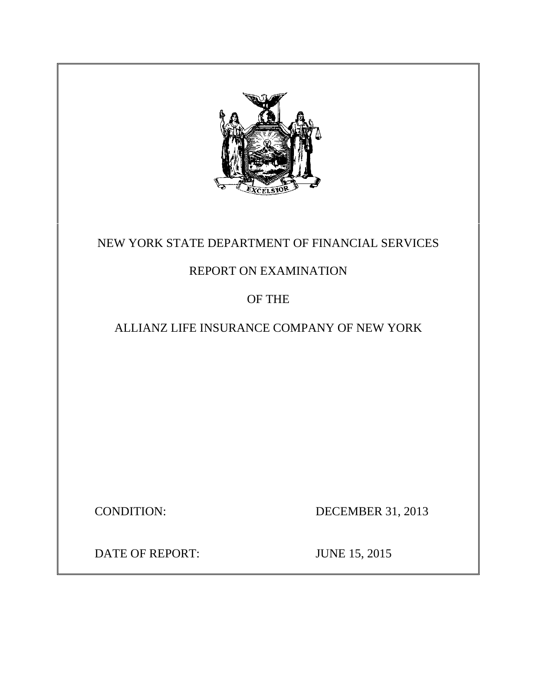

# NEW YORK STATE DEPARTMENT OF FINANCIAL SERVICES

# REPORT ON EXAMINATION

OF THE

ALLIANZ LIFE INSURANCE COMPANY OF NEW YORK

CONDITION: DECEMBER 31, 2013

DATE OF REPORT: JUNE 15, 2015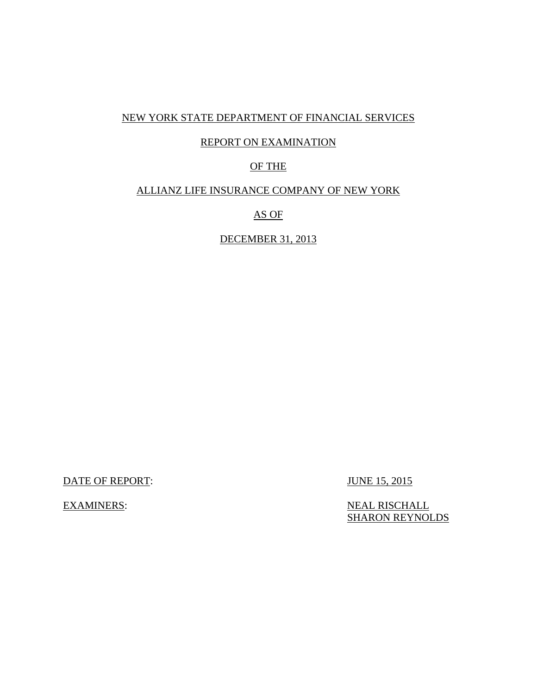### NEW YORK STATE DEPARTMENT OF FINANCIAL SERVICES

### REPORT ON EXAMINATION

## OF THE

### ALLIANZ LIFE INSURANCE COMPANY OF NEW YORK

AS OF

DECEMBER 31, 2013

DATE OF REPORT: JUNE 15, 2015

EXAMINERS: NEAL RISCHALL **SHARON REYNOLDS**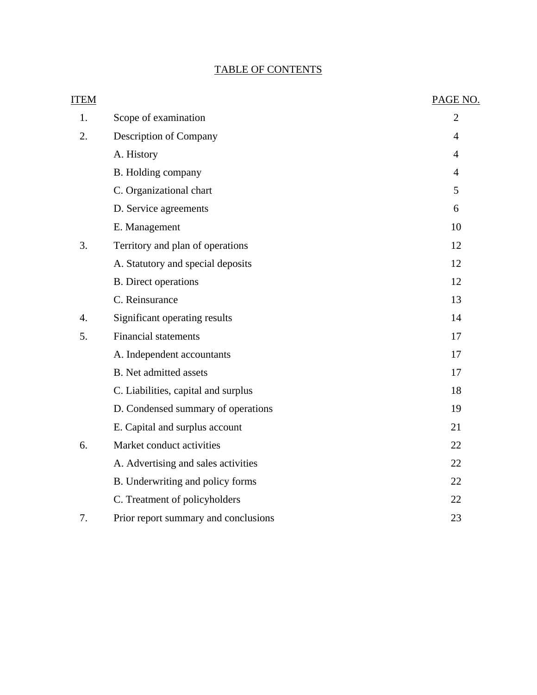# TABLE OF CONTENTS

| <b>ITEM</b>      |                                      | PAGE NO.       |
|------------------|--------------------------------------|----------------|
| 1.               | Scope of examination                 | $\overline{2}$ |
| 2.               | Description of Company               | 4              |
|                  | A. History                           | 4              |
|                  | B. Holding company                   | $\overline{4}$ |
|                  | C. Organizational chart              | 5              |
|                  | D. Service agreements                | 6              |
|                  | E. Management                        | 10             |
| 3.               | Territory and plan of operations     | 12             |
|                  | A. Statutory and special deposits    | 12             |
|                  | <b>B.</b> Direct operations          | 12             |
|                  | C. Reinsurance                       | 13             |
| $\overline{4}$ . | Significant operating results        | 14             |
| 5.               | <b>Financial statements</b>          | 17             |
|                  | A. Independent accountants           | 17             |
|                  | <b>B.</b> Net admitted assets        | 17             |
|                  | C. Liabilities, capital and surplus  | 18             |
|                  | D. Condensed summary of operations   | 19             |
|                  | E. Capital and surplus account       | 21             |
| 6.               | Market conduct activities            | 22             |
|                  | A. Advertising and sales activities  | 22             |
|                  | B. Underwriting and policy forms     | 22             |
|                  | C. Treatment of policyholders        | 22             |
| 7.               | Prior report summary and conclusions | 23             |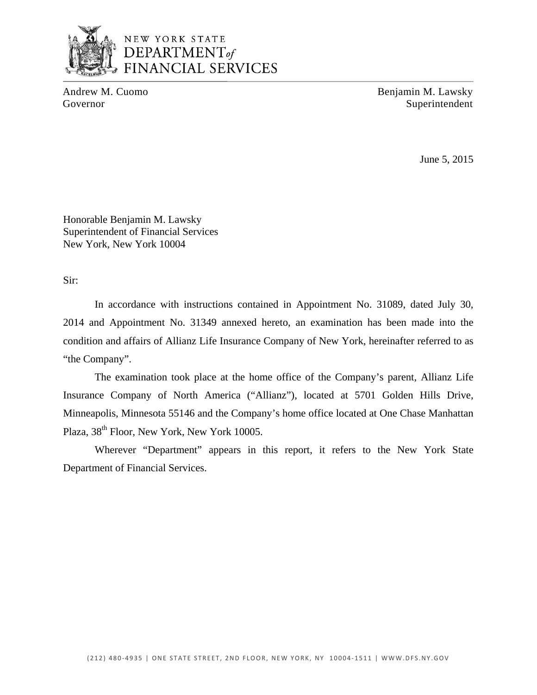

Andrew M. Cuomo Benjamin M. Lawsky Governor Superintendent

June 5, 2015

Honorable Benjamin M. Lawsky Superintendent of Financial Services New York, New York 10004

Sir:

In accordance with instructions contained in Appointment No. 31089, dated July 30, 2014 and Appointment No. 31349 annexed hereto, an examination has been made into the condition and affairs of Allianz Life Insurance Company of New York, hereinafter referred to as "the Company".

The examination took place at the home office of the Company's parent, Allianz Life Insurance Company of North America ("Allianz"), located at 5701 Golden Hills Drive, Minneapolis, Minnesota 55146 and the Company's home office located at One Chase Manhattan Plaza, 38<sup>th</sup> Floor, New York, New York 10005.

Wherever "Department" appears in this report, it refers to the New York State Department of Financial Services.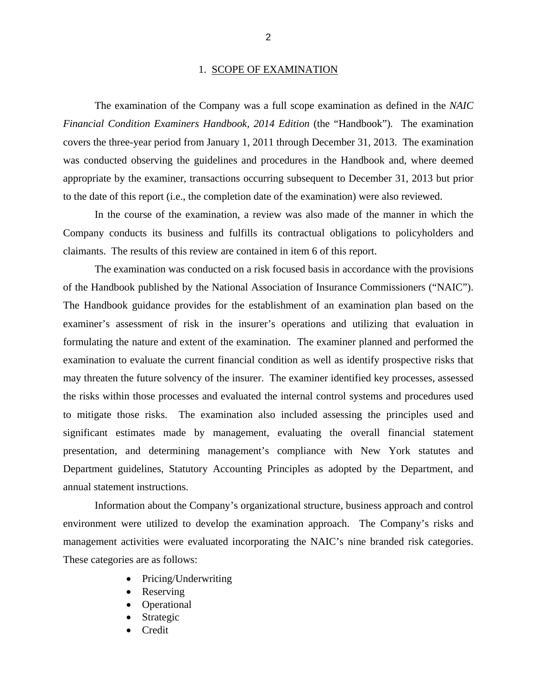#### 1. SCOPE OF EXAMINATION

<span id="page-4-0"></span>The examination of the Company was a full scope examination as defined in the *NAIC Financial Condition Examiners Handbook, 2014 Edition* (the "Handbook"). The examination covers the three-year period from January 1, 2011 through December 31, 2013. The examination was conducted observing the guidelines and procedures in the Handbook and, where deemed appropriate by the examiner, transactions occurring subsequent to December 31, 2013 but prior to the date of this report (i.e., the completion date of the examination) were also reviewed.

In the course of the examination, a review was also made of the manner in which the Company conducts its business and fulfills its contractual obligations to policyholders and claimants. The results of this review are contained in item 6 of this report.

The examination was conducted on a risk focused basis in accordance with the provisions of the Handbook published by the National Association of Insurance Commissioners ("NAIC"). The Handbook guidance provides for the establishment of an examination plan based on the examiner's assessment of risk in the insurer's operations and utilizing that evaluation in formulating the nature and extent of the examination. The examiner planned and performed the examination to evaluate the current financial condition as well as identify prospective risks that may threaten the future solvency of the insurer. The examiner identified key processes, assessed the risks within those processes and evaluated the internal control systems and procedures used to mitigate those risks. The examination also included assessing the principles used and significant estimates made by management, evaluating the overall financial statement presentation, and determining management's compliance with New York statutes and Department guidelines, Statutory Accounting Principles as adopted by the Department, and annual statement instructions.

Information about the Company's organizational structure, business approach and control environment were utilized to develop the examination approach. The Company's risks and management activities were evaluated incorporating the NAIC's nine branded risk categories. These categories are as follows:

- Pricing/Underwriting
- Reserving
- Operational
- Strategic
- Credit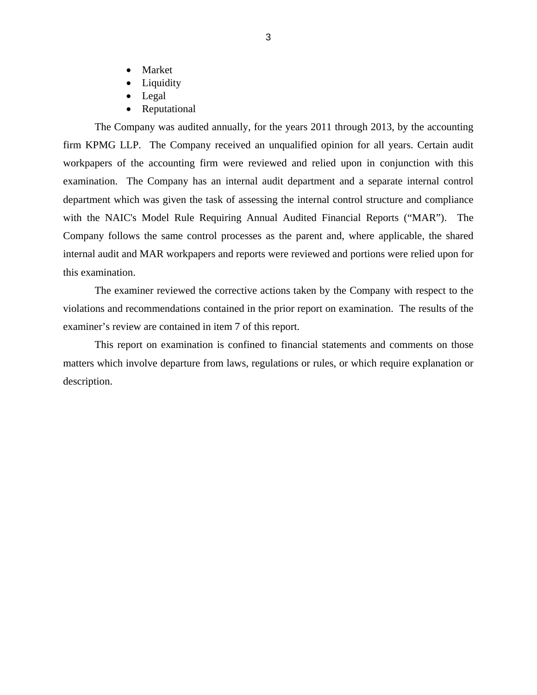- Market
- Liquidity
- Legal
- Reputational

The Company was audited annually, for the years 2011 through 2013, by the accounting firm KPMG LLP. The Company received an unqualified opinion for all years. Certain audit workpapers of the accounting firm were reviewed and relied upon in conjunction with this examination. The Company has an internal audit department and a separate internal control department which was given the task of assessing the internal control structure and compliance with the NAIC's Model Rule Requiring Annual Audited Financial Reports ("MAR"). The Company follows the same control processes as the parent and, where applicable, the shared internal audit and MAR workpapers and reports were reviewed and portions were relied upon for this examination.

The examiner reviewed the corrective actions taken by the Company with respect to the violations and recommendations contained in the prior report on examination. The results of the examiner's review are contained in item 7 of this report.

This report on examination is confined to financial statements and comments on those matters which involve departure from laws, regulations or rules, or which require explanation or description.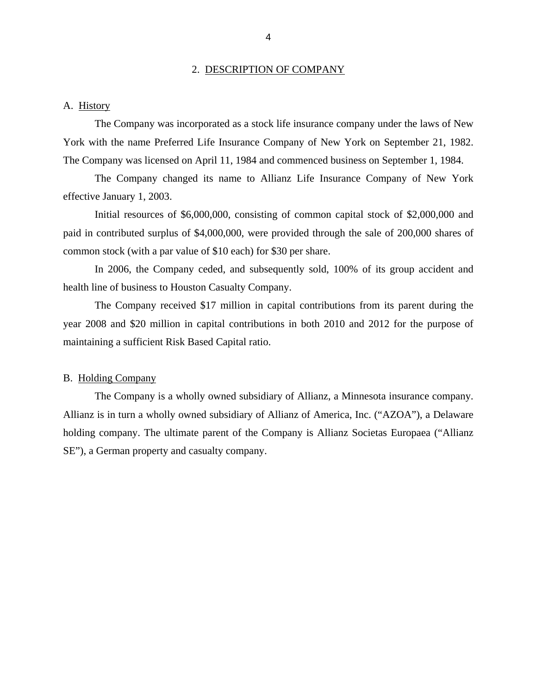#### 2. DESCRIPTION OF COMPANY

#### <span id="page-6-0"></span>A. History

The Company was incorporated as a stock life insurance company under the laws of New York with the name Preferred Life Insurance Company of New York on September 21, 1982. The Company was licensed on April 11, 1984 and commenced business on September 1, 1984.

The Company changed its name to Allianz Life Insurance Company of New York effective January 1, 2003.

Initial resources of \$6,000,000, consisting of common capital stock of \$2,000,000 and paid in contributed surplus of \$4,000,000, were provided through the sale of 200,000 shares of common stock (with a par value of \$10 each) for \$30 per share.

In 2006, the Company ceded, and subsequently sold, 100% of its group accident and health line of business to Houston Casualty Company.

maintaining a sufficient Risk Based Capital ratio.<br>B. Holding Company The Company received \$17 million in capital contributions from its parent during the year 2008 and \$20 million in capital contributions in both 2010 and 2012 for the purpose of

The Company is a wholly owned subsidiary of Allianz, a Minnesota insurance company. Allianz is in turn a wholly owned subsidiary of Allianz of America, Inc. ("AZOA"), a Delaware holding company. The ultimate parent of the Company is Allianz Societas Europaea ("Allianz SE"), a German property and casualty company.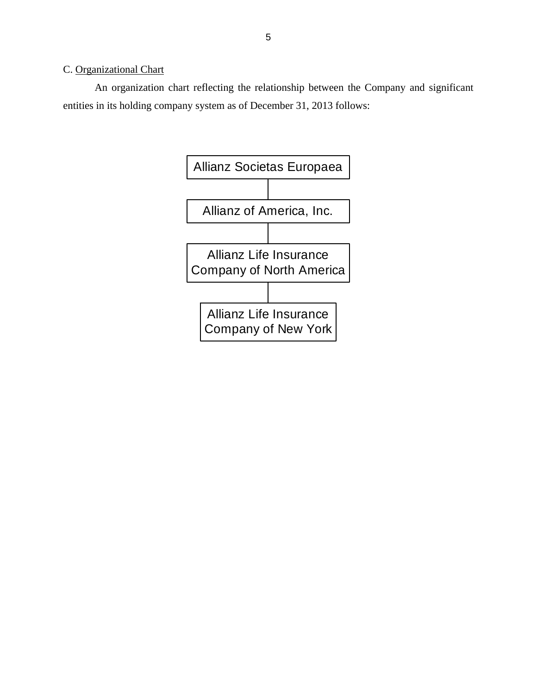## <span id="page-7-0"></span>C. Organizational Chart

An organization chart reflecting the relationship between the Company and significant entities in its holding company system as of December 31, 2013 follows:

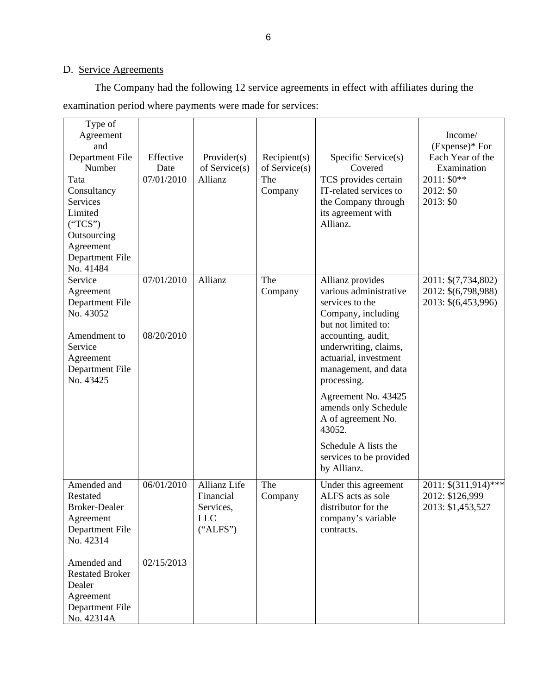# D. Service Agreements

The Company had the following 12 service agreements in effect with affiliates during the examination period where payments were made for services:

| Type of<br>Agreement<br>and<br>Department File<br>Number<br>Tata<br>Consultancy<br>Services<br>Limited<br>("TCS")<br>Outsourcing | Effective<br>Date<br>07/01/2010 | Provider(s)<br>of $S$ ervice $(s)$<br>Allianz                           | Recipient(s)<br>of Service(s)<br>The<br>Company | Specific Service(s)<br>Covered<br>TCS provides certain<br>IT-related services to<br>the Company through<br>its agreement with<br>Allianz. | Income/<br>$(Express)*$ For<br>Each Year of the<br>Examination<br>2011: $$0**$<br>2012: \$0<br>2013: \$0 |
|----------------------------------------------------------------------------------------------------------------------------------|---------------------------------|-------------------------------------------------------------------------|-------------------------------------------------|-------------------------------------------------------------------------------------------------------------------------------------------|----------------------------------------------------------------------------------------------------------|
| Agreement<br>Department File<br>No. 41484                                                                                        |                                 |                                                                         |                                                 |                                                                                                                                           |                                                                                                          |
| Service<br>Agreement<br>Department File<br>No. 43052                                                                             | 07/01/2010                      | Allianz                                                                 | The<br>Company                                  | Allianz provides<br>various administrative<br>services to the<br>Company, including<br>but not limited to:                                | 2011: \$(7,734,802)<br>2012: \$(6,798,988)<br>2013: \$(6,453,996)                                        |
| Amendment to<br>Service<br>Agreement<br>Department File<br>No. 43425                                                             | 08/20/2010                      |                                                                         |                                                 | accounting, audit,<br>underwriting, claims,<br>actuarial, investment<br>management, and data<br>processing.                               |                                                                                                          |
|                                                                                                                                  |                                 |                                                                         |                                                 | Agreement No. 43425<br>amends only Schedule<br>A of agreement No.<br>43052.                                                               |                                                                                                          |
|                                                                                                                                  |                                 |                                                                         |                                                 | Schedule A lists the<br>services to be provided<br>by Allianz.                                                                            |                                                                                                          |
| Amended and<br>Restated<br><b>Broker-Dealer</b><br>Agreement<br>Department File<br>No. 42314                                     | 06/01/2010                      | <b>Allianz Life</b><br>Financial<br>Services,<br><b>LLC</b><br>("ALFS") | The<br>Company                                  | Under this agreement<br>ALFS acts as sole<br>distributor for the<br>company's variable<br>contracts.                                      | 2011: \$(311,914)***<br>2012: \$126,999<br>2013: \$1,453,527                                             |
| Amended and<br><b>Restated Broker</b><br>Dealer<br>Agreement<br>Department File<br>No. 42314A                                    | 02/15/2013                      |                                                                         |                                                 |                                                                                                                                           |                                                                                                          |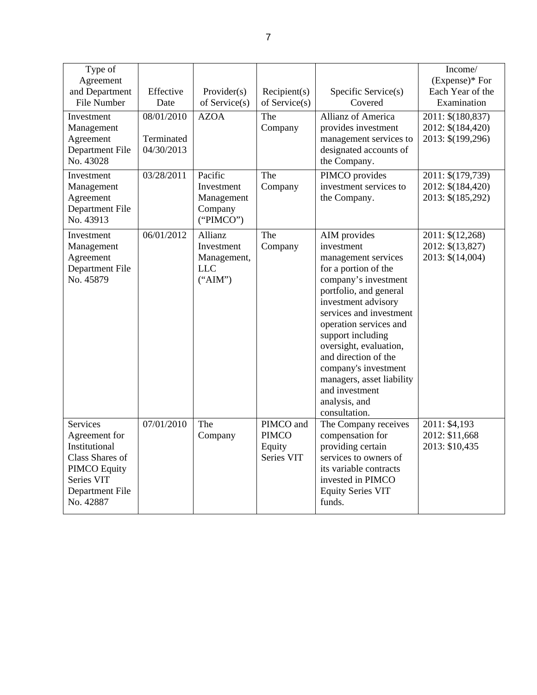| Type of<br>Agreement<br>and Department<br><b>File Number</b><br>Investment<br>Management<br>Agreement<br>Department File<br>No. 43028     | Effective<br>Date<br>08/01/2010<br>Terminated<br>04/30/2013 | Provider(s)<br>of Service(s)<br><b>AZOA</b>                   | Recipient(s)<br>of Service $(s)$<br>The<br>Company | Specific Service(s)<br>Covered<br><b>Allianz of America</b><br>provides investment<br>management services to<br>designated accounts of<br>the Company.                                                                                                                                                                                                                                  | Income/<br>$(Express)*$ For<br>Each Year of the<br>Examination<br>2011: \$(180,837)<br>2012: \$(184,420)<br>2013: \$(199,296) |
|-------------------------------------------------------------------------------------------------------------------------------------------|-------------------------------------------------------------|---------------------------------------------------------------|----------------------------------------------------|-----------------------------------------------------------------------------------------------------------------------------------------------------------------------------------------------------------------------------------------------------------------------------------------------------------------------------------------------------------------------------------------|-------------------------------------------------------------------------------------------------------------------------------|
| Investment<br>Management<br>Agreement<br>Department File<br>No. 43913                                                                     | 03/28/2011                                                  | Pacific<br>Investment<br>Management<br>Company<br>("PIMCO")   | The<br>Company                                     | PIMCO provides<br>investment services to<br>the Company.                                                                                                                                                                                                                                                                                                                                | 2011: \$(179,739)<br>2012: \$(184,420)<br>2013: \$(185,292)                                                                   |
| Investment<br>Management<br>Agreement<br>Department File<br>No. 45879                                                                     | 06/01/2012                                                  | Allianz<br>Investment<br>Management,<br><b>LLC</b><br>("AIM") | The<br>Company                                     | AIM provides<br>investment<br>management services<br>for a portion of the<br>company's investment<br>portfolio, and general<br>investment advisory<br>services and investment<br>operation services and<br>support including<br>oversight, evaluation,<br>and direction of the<br>company's investment<br>managers, asset liability<br>and investment<br>analysis, and<br>consultation. | $\overline{20}11: \$(12,268)$<br>2012: \$(13,827)<br>2013: \$(14,004)                                                         |
| <b>Services</b><br>Agreement for<br>Institutional<br>Class Shares of<br><b>PIMCO Equity</b><br>Series VIT<br>Department File<br>No. 42887 | 07/01/2010                                                  | The<br>Company                                                | PIMCO and<br><b>PIMCO</b><br>Equity<br>Series VIT  | The Company receives<br>compensation for<br>providing certain<br>services to owners of<br>its variable contracts<br>invested in PIMCO<br><b>Equity Series VIT</b><br>funds.                                                                                                                                                                                                             | 2011: \$4,193<br>2012: \$11,668<br>2013: \$10,435                                                                             |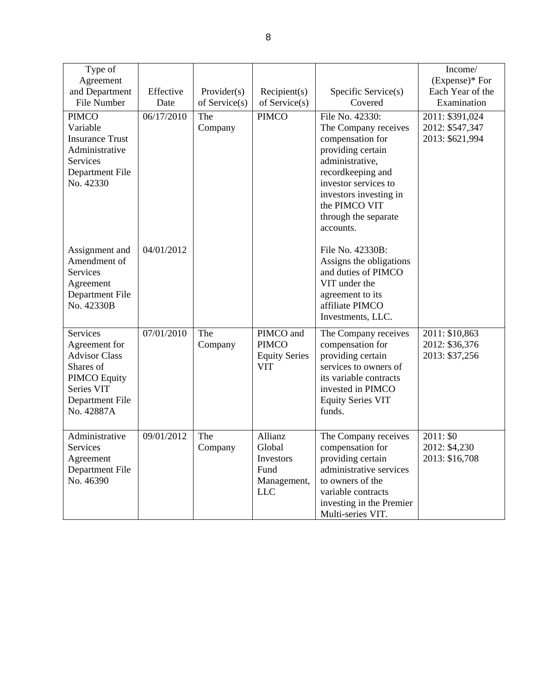| Type of<br>Agreement<br>and Department<br>File Number                                                                                       | Effective<br>Date | Provider(s)<br>of Service(s) | Recipient(s)<br>of Service(s)                                       | Specific Service(s)<br>Covered                                                                                                                                                                                                   | Income/<br>$(Express)*$ For<br>Each Year of the<br>Examination |
|---------------------------------------------------------------------------------------------------------------------------------------------|-------------------|------------------------------|---------------------------------------------------------------------|----------------------------------------------------------------------------------------------------------------------------------------------------------------------------------------------------------------------------------|----------------------------------------------------------------|
| <b>PIMCO</b><br>Variable<br><b>Insurance Trust</b><br>Administrative<br><b>Services</b><br>Department File<br>No. 42330                     | 06/17/2010        | The<br>Company               | <b>PIMCO</b>                                                        | File No. 42330:<br>The Company receives<br>compensation for<br>providing certain<br>administrative,<br>recordkeeping and<br>investor services to<br>investors investing in<br>the PIMCO VIT<br>through the separate<br>accounts. | 2011: \$391,024<br>2012: \$547,347<br>2013: \$621,994          |
| Assignment and<br>Amendment of<br><b>Services</b><br>Agreement<br>Department File<br>No. 42330B                                             | 04/01/2012        |                              |                                                                     | File No. 42330B:<br>Assigns the obligations<br>and duties of PIMCO<br>VIT under the<br>agreement to its<br>affiliate PIMCO<br>Investments, LLC.                                                                                  |                                                                |
| <b>Services</b><br>Agreement for<br><b>Advisor Class</b><br>Shares of<br><b>PIMCO</b> Equity<br>Series VIT<br>Department File<br>No. 42887A | 07/01/2010        | The<br>Company               | PIMCO and<br><b>PIMCO</b><br><b>Equity Series</b><br><b>VIT</b>     | The Company receives<br>compensation for<br>providing certain<br>services to owners of<br>its variable contracts<br>invested in PIMCO<br><b>Equity Series VIT</b><br>funds.                                                      | 2011: \$10,863<br>2012: \$36,376<br>2013: \$37,256             |
| Administrative<br><b>Services</b><br>Agreement<br>Department File<br>No. 46390                                                              | 09/01/2012        | The<br>Company               | Allianz<br>Global<br>Investors<br>Fund<br>Management,<br><b>LLC</b> | The Company receives<br>compensation for<br>providing certain<br>administrative services<br>to owners of the<br>variable contracts<br>investing in the Premier<br>Multi-series VIT.                                              | 2011: \$0<br>2012: \$4,230<br>2013: \$16,708                   |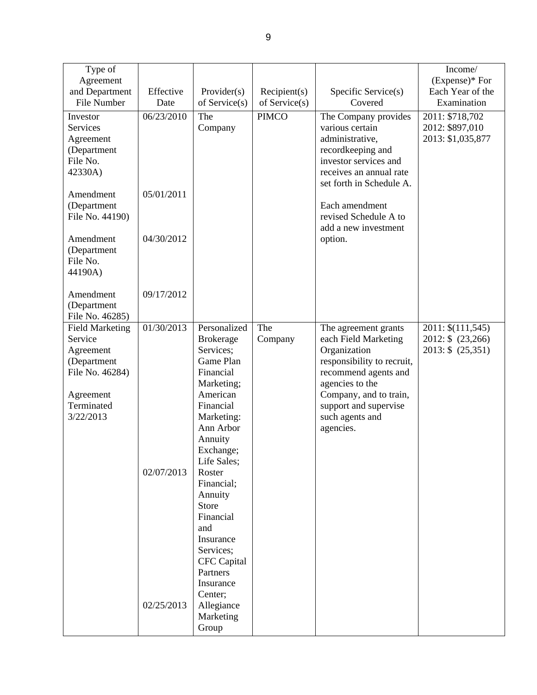| Type of<br>Agreement<br>and Department<br>File Number<br>Investor<br><b>Services</b><br>Agreement<br>(Department<br>File No.<br>42330A)<br>Amendment<br>(Department<br>File No. 44190)<br>Amendment<br>(Department<br>File No.<br>44190A)<br>Amendment<br>(Department | Effective<br>Date<br>06/23/2010<br>05/01/2011<br>04/30/2012<br>09/17/2012 | Provider(s)<br>of Service(s)<br>The<br>Company                                                                                                                                                                                                                                                                                                                           | Recipient(s)<br>of Service(s)<br><b>PIMCO</b> | Specific Service(s)<br>Covered<br>The Company provides<br>various certain<br>administrative,<br>recordkeeping and<br>investor services and<br>receives an annual rate<br>set forth in Schedule A.<br>Each amendment<br>revised Schedule A to<br>add a new investment<br>option. | Income/<br>$(Express)*$ For<br>Each Year of the<br>Examination<br>2011: \$718,702<br>2012: \$897,010<br>2013: \$1,035,877 |
|-----------------------------------------------------------------------------------------------------------------------------------------------------------------------------------------------------------------------------------------------------------------------|---------------------------------------------------------------------------|--------------------------------------------------------------------------------------------------------------------------------------------------------------------------------------------------------------------------------------------------------------------------------------------------------------------------------------------------------------------------|-----------------------------------------------|---------------------------------------------------------------------------------------------------------------------------------------------------------------------------------------------------------------------------------------------------------------------------------|---------------------------------------------------------------------------------------------------------------------------|
| File No. 46285)<br><b>Field Marketing</b><br>Service<br>Agreement<br>(Department<br>File No. 46284)<br>Agreement<br>Terminated<br>3/22/2013                                                                                                                           | 01/30/2013<br>02/07/2013<br>02/25/2013                                    | Personalized<br><b>Brokerage</b><br>Services;<br>Game Plan<br>Financial<br>Marketing;<br>American<br>Financial<br>Marketing:<br>Ann Arbor<br>Annuity<br>Exchange;<br>Life Sales;<br>Roster<br>Financial;<br>Annuity<br>Store<br>Financial<br>and<br>Insurance<br>Services;<br><b>CFC</b> Capital<br>Partners<br>Insurance<br>Center;<br>Allegiance<br>Marketing<br>Group | The<br>Company                                | The agreement grants<br>each Field Marketing<br>Organization<br>responsibility to recruit,<br>recommend agents and<br>agencies to the<br>Company, and to train,<br>support and supervise<br>such agents and<br>agencies.                                                        | 2011: \$(111,545)<br>2012: \$ (23,266)<br>2013: \$ (25,351)                                                               |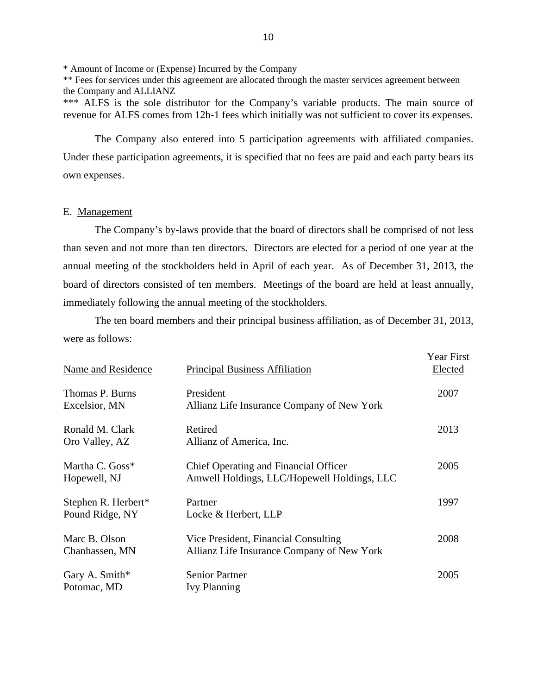\* Amount of Income or (Expense) Incurred by the Company

\*\* Fees for services under this agreement are allocated through the master services agreement between the Company and ALLIANZ

\*\*\* ALFS is the sole distributor for the Company's variable products. The main source of revenue for ALFS comes from 12b-1 fees which initially was not sufficient to cover its expenses.

The Company also entered into 5 participation agreements with affiliated companies. Under these participation agreements, it is specified that no fees are paid and each party bears its own expenses.

#### E. Management

The Company's by-laws provide that the board of directors shall be comprised of not less than seven and not more than ten directors. Directors are elected for a period of one year at the annual meeting of the stockholders held in April of each year. As of December 31, 2013, the board of directors consisted of ten members. Meetings of the board are held at least annually, immediately following the annual meeting of the stockholders.

The ten board members and their principal business affiliation, as of December 31, 2013, were as follows:

| Name and Residence                     | <b>Principal Business Affiliation</b>                                                | <b>Year First</b><br>Elected |
|----------------------------------------|--------------------------------------------------------------------------------------|------------------------------|
| Thomas P. Burns<br>Excelsior, MN       | President<br>Allianz Life Insurance Company of New York                              | 2007                         |
| Ronald M. Clark<br>Oro Valley, AZ      | Retired<br>Allianz of America, Inc.                                                  | 2013                         |
| Martha C. Goss*<br>Hopewell, NJ        | Chief Operating and Financial Officer<br>Amwell Holdings, LLC/Hopewell Holdings, LLC | 2005                         |
| Stephen R. Herbert*<br>Pound Ridge, NY | Partner<br>Locke & Herbert, LLP                                                      | 1997                         |
| Marc B. Olson<br>Chanhassen, MN        | Vice President, Financial Consulting<br>Allianz Life Insurance Company of New York   | 2008                         |
| Gary A. Smith*<br>Potomac, MD          | <b>Senior Partner</b><br><b>Ivy Planning</b>                                         | 2005                         |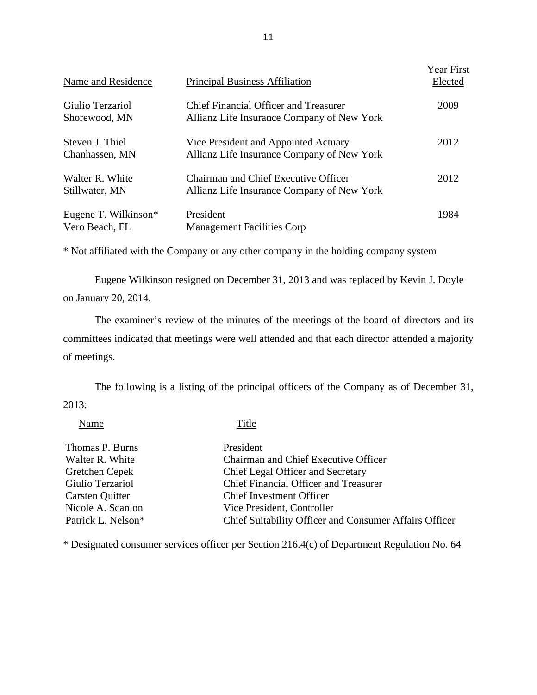| Name and Residence                     | <b>Principal Business Affiliation</b>                                                     | <b>Year First</b><br>Elected |
|----------------------------------------|-------------------------------------------------------------------------------------------|------------------------------|
| Giulio Terzariol<br>Shorewood, MN      | Chief Financial Officer and Treasurer<br>Allianz Life Insurance Company of New York       | 2009                         |
| Steven J. Thiel<br>Chanhassen, MN      | Vice President and Appointed Actuary<br>Allianz Life Insurance Company of New York        | 2012                         |
| Walter R. White<br>Stillwater, MN      | <b>Chairman and Chief Executive Officer</b><br>Allianz Life Insurance Company of New York | 2012                         |
| Eugene T. Wilkinson*<br>Vero Beach, FL | President<br><b>Management Facilities Corp</b>                                            | 1984                         |

\* Not affiliated with the Company or any other company in the holding company system

Eugene Wilkinson resigned on December 31, 2013 and was replaced by Kevin J. Doyle on January 20, 2014.

The examiner's review of the minutes of the meetings of the board of directors and its committees indicated that meetings were well attended and that each director attended a majority of meetings.

The following is a listing of the principal officers of the Company as of December 31, 2013:

Name Title

| Thomas P. Burns    | President                                              |
|--------------------|--------------------------------------------------------|
| Walter R. White    | Chairman and Chief Executive Officer                   |
| Gretchen Cepek     | Chief Legal Officer and Secretary                      |
| Giulio Terzariol   | <b>Chief Financial Officer and Treasurer</b>           |
| Carsten Quitter    | <b>Chief Investment Officer</b>                        |
| Nicole A. Scanlon  | Vice President, Controller                             |
| Patrick L. Nelson* | Chief Suitability Officer and Consumer Affairs Officer |

\* Designated consumer services officer per Section 216.4(c) of Department Regulation No. 64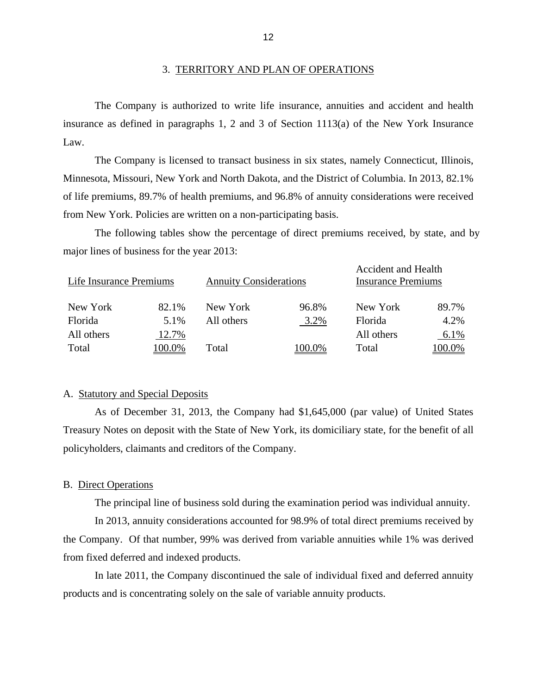#### 3. TERRITORY AND PLAN OF OPERATIONS

The Company is authorized to write life insurance, annuities and accident and health insurance as defined in paragraphs 1, 2 and 3 of Section 1113(a) of the New York Insurance Law.

The Company is licensed to transact business in six states, namely Connecticut, Illinois, Minnesota, Missouri, New York and North Dakota, and the District of Columbia. In 2013, 82.1% of life premiums, 89.7% of health premiums, and 96.8% of annuity considerations were received from New York. Policies are written on a non-participating basis.

The following tables show the percentage of direct premiums received, by state, and by major lines of business for the year 2013:

| Life Insurance Premiums |       | <b>Annuity Considerations</b> |        | <b>Accident and Health</b><br><b>Insurance Premiums</b> |        |
|-------------------------|-------|-------------------------------|--------|---------------------------------------------------------|--------|
| New York                | 82.1% | New York                      | 96.8%  | New York                                                | 89.7%  |
| Florida                 | 5.1%  | All others                    | 3.2%   | Florida                                                 | 4.2%   |
| All others              | 12.7% |                               |        | All others                                              | 6.1%   |
| Total                   | 00.0% | Total                         | 100.0% | Total                                                   | 100.0% |

#### A. Statutory and Special Deposits

As of December 31, 2013, the Company had \$1,645,000 (par value) of United States Treasury Notes on deposit with the State of New York, its domiciliary state, for the benefit of all policyholders, claimants and creditors of the Company.

#### B. Direct Operations

The principal line of business sold during the examination period was individual annuity.

In 2013, annuity considerations accounted for 98.9% of total direct premiums received by the Company. Of that number, 99% was derived from variable annuities while 1% was derived from fixed deferred and indexed products.

In late 2011, the Company discontinued the sale of individual fixed and deferred annuity products and is concentrating solely on the sale of variable annuity products.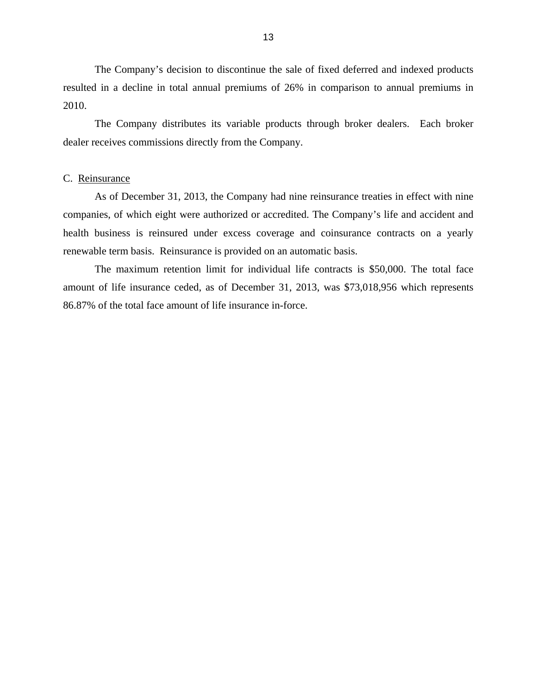<span id="page-15-0"></span>The Company's decision to discontinue the sale of fixed deferred and indexed products resulted in a decline in total annual premiums of 26% in comparison to annual premiums in 2010.

The Company distributes its variable products through broker dealers. Each broker dealer receives commissions directly from the Company.

#### C. Reinsurance

As of December 31, 2013, the Company had nine reinsurance treaties in effect with nine companies, of which eight were authorized or accredited. The Company's life and accident and health business is reinsured under excess coverage and coinsurance contracts on a yearly renewable term basis. Reinsurance is provided on an automatic basis.

The maximum retention limit for individual life contracts is \$50,000. The total face amount of life insurance ceded, as of December 31, 2013, was \$73,018,956 which represents 86.87% of the total face amount of life insurance in-force.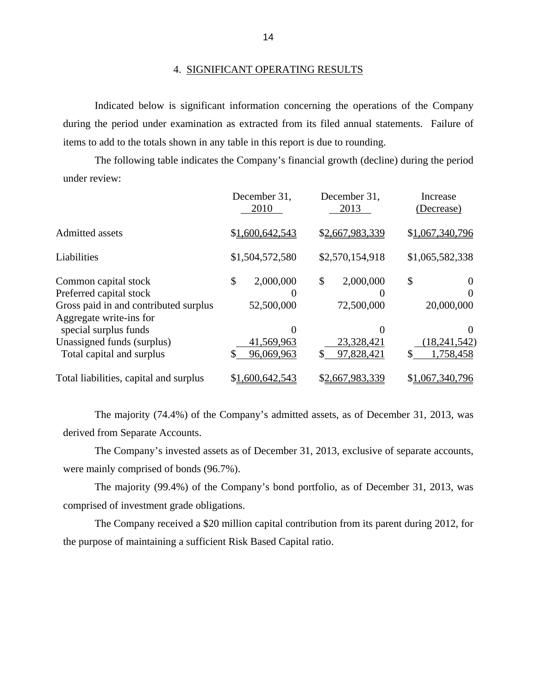#### 4. SIGNIFICANT OPERATING RESULTS

Indicated below is significant information concerning the operations of the Company during the period under examination as extracted from its filed annual statements. Failure of items to add to the totals shown in any table in this report is due to rounding.

The following table indicates the Company's financial growth (decline) during the period under review:

|                                                                                                                     | December 31,<br>2010          | December 31,<br>2013          | Increase<br>(Decrease) |
|---------------------------------------------------------------------------------------------------------------------|-------------------------------|-------------------------------|------------------------|
| Admitted assets                                                                                                     | \$1,600,642,543               | \$2,667,983,339               | \$1,067,340,796        |
| Liabilities                                                                                                         | \$1,504,572,580               | \$2,570,154,918               | \$1,065,582,338        |
| Common capital stock<br>Preferred capital stock<br>Gross paid in and contributed surplus<br>Aggregate write-ins for | \$<br>2,000,000<br>52,500,000 | \$<br>2,000,000<br>72,500,000 | \$<br>20,000,000       |
| special surplus funds<br>Unassigned funds (surplus)                                                                 | 0<br>41,569,963               | $_{0}$<br>23,328,421          | (18, 241, 542)         |
| Total capital and surplus                                                                                           | 96,069,963                    | 97,828,421                    | 1,758,458<br>S         |
| Total liabilities, capital and surplus                                                                              | \$1,600,642,543               | \$2,667,983,339               | \$1,067,340,796        |

The majority (74.4%) of the Company's admitted assets, as of December 31, 2013, was derived from Separate Accounts.

The Company's invested assets as of December 31, 2013, exclusive of separate accounts, were mainly comprised of bonds (96.7%).

The majority (99.4%) of the Company's bond portfolio, as of December 31, 2013, was comprised of investment grade obligations.

The Company received a \$20 million capital contribution from its parent during 2012, for the purpose of maintaining a sufficient Risk Based Capital ratio.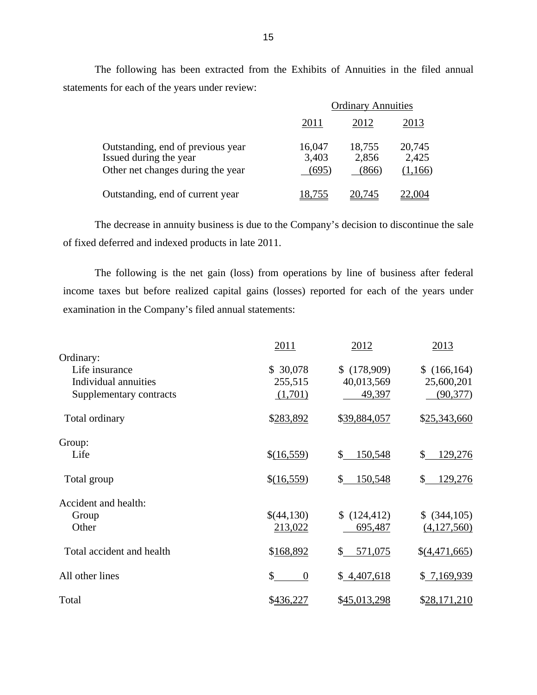The following has been extracted from the Exhibits of Annuities in the filed annual statements for each of the years under review:

|                                                                                                  | <b>Ordinary Annuities</b> |                          |                            |  |
|--------------------------------------------------------------------------------------------------|---------------------------|--------------------------|----------------------------|--|
|                                                                                                  | 2011                      | 2012                     | 2013                       |  |
| Outstanding, end of previous year<br>Issued during the year<br>Other net changes during the year | 16,047<br>3,403<br>(695)  | 18,755<br>2,856<br>(866) | 20,745<br>2,425<br>(1,166) |  |
| Outstanding, end of current year                                                                 | 18.755                    | 20,745                   | 22.004                     |  |

The decrease in annuity business is due to the Company's decision to discontinue the sale of fixed deferred and indexed products in late 2011.

The following is the net gain (loss) from operations by line of business after federal income taxes but before realized capital gains (losses) reported for each of the years under examination in the Company's filed annual statements:

|                           | 2011           | 2012          | 2013          |
|---------------------------|----------------|---------------|---------------|
| Ordinary:                 |                |               |               |
| Life insurance            | \$30,078       | \$(178,909)   | \$(166, 164)  |
| Individual annuities      | 255,515        | 40,013,569    | 25,600,201    |
| Supplementary contracts   | (1,701)        | 49,397        | (90, 377)     |
| Total ordinary            | \$283,892      | \$39,884,057  | \$25,343,660  |
| Group:                    |                |               |               |
| Life                      | \$(16,559)     | 150,548<br>\$ | \$<br>129,276 |
| Total group               | \$(16,559)     | 150,548<br>\$ | 129,276<br>\$ |
| Accident and health:      |                |               |               |
| Group                     | \$(44,130)     | (124, 412)    | $$$ (344,105) |
| Other                     | 213,022        | 695,487       | (4,127,560)   |
| Total accident and health | \$168,892      | 571,075<br>\$ | \$(4,471,665) |
| All other lines           | \$<br>$\theta$ | \$4,407,618   | \$7,169,939   |
| Total                     | \$436,227      | \$45,013,298  | \$28,171,210  |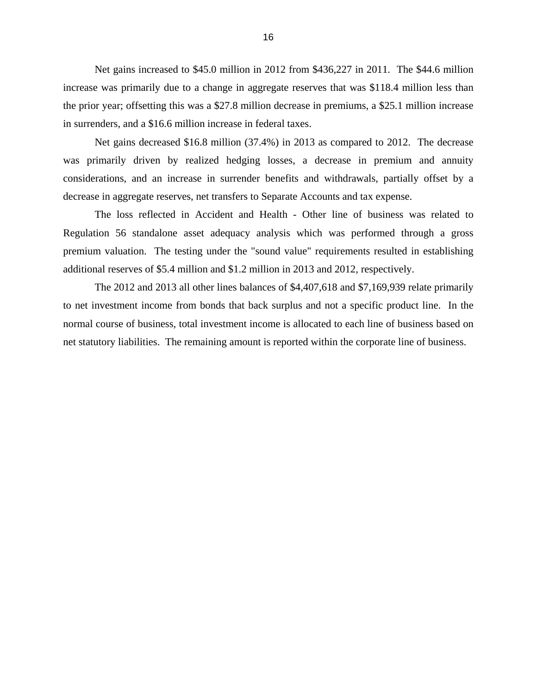Net gains increased to \$45.0 million in 2012 from \$436,227 in 2011. The \$44.6 million increase was primarily due to a change in aggregate reserves that was \$118.4 million less than the prior year; offsetting this was a \$27.8 million decrease in premiums, a \$25.1 million increase in surrenders, and a \$16.6 million increase in federal taxes.

Net gains decreased \$16.8 million (37.4%) in 2013 as compared to 2012. The decrease was primarily driven by realized hedging losses, a decrease in premium and annuity considerations, and an increase in surrender benefits and withdrawals, partially offset by a decrease in aggregate reserves, net transfers to Separate Accounts and tax expense.

The loss reflected in Accident and Health - Other line of business was related to Regulation 56 standalone asset adequacy analysis which was performed through a gross premium valuation. The testing under the "sound value" requirements resulted in establishing additional reserves of \$5.4 million and \$1.2 million in 2013 and 2012, respectively.

The 2012 and 2013 all other lines balances of \$4,407,618 and \$7,169,939 relate primarily to net investment income from bonds that back surplus and not a specific product line. In the normal course of business, total investment income is allocated to each line of business based on net statutory liabilities. The remaining amount is reported within the corporate line of business.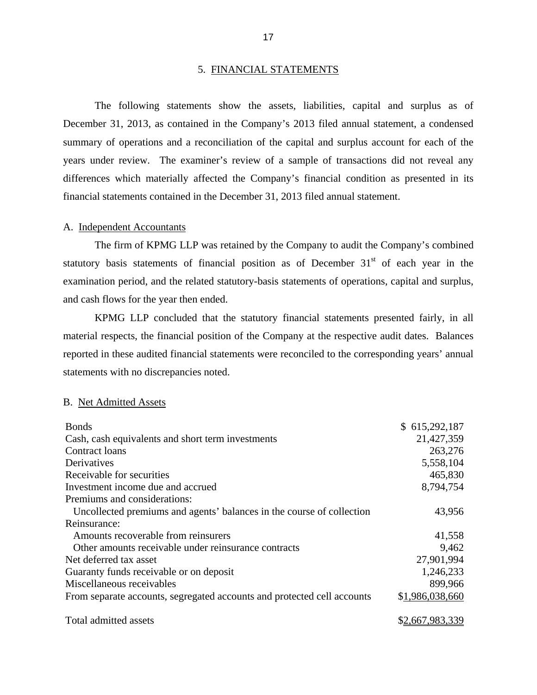#### 5. FINANCIAL STATEMENTS

<span id="page-19-0"></span>The following statements show the assets, liabilities, capital and surplus as of December 31, 2013, as contained in the Company's 2013 filed annual statement, a condensed summary of operations and a reconciliation of the capital and surplus account for each of the years under review. The examiner's review of a sample of transactions did not reveal any differences which materially affected the Company's financial condition as presented in its financial statements contained in the December 31, 2013 filed annual statement.

#### A. Independent Accountants

The firm of KPMG LLP was retained by the Company to audit the Company's combined statutory basis statements of financial position as of December  $31<sup>st</sup>$  of each year in the examination period, and the related statutory-basis statements of operations, capital and surplus, and cash flows for the year then ended.

KPMG LLP concluded that the statutory financial statements presented fairly, in all material respects, the financial position of the Company at the respective audit dates. Balances reported in these audited financial statements were reconciled to the corresponding years' annual statements with no discrepancies noted.

### B. Net Admitted Assets

| <b>Bonds</b>                                                            | \$615,292,187   |
|-------------------------------------------------------------------------|-----------------|
| Cash, cash equivalents and short term investments                       | 21,427,359      |
| Contract loans                                                          | 263,276         |
| Derivatives                                                             | 5,558,104       |
| Receivable for securities                                               | 465,830         |
| Investment income due and accrued                                       | 8,794,754       |
| Premiums and considerations:                                            |                 |
| Uncollected premiums and agents' balances in the course of collection   | 43,956          |
| Reinsurance:                                                            |                 |
| Amounts recoverable from reinsurers                                     | 41,558          |
| Other amounts receivable under reinsurance contracts                    | 9,462           |
| Net deferred tax asset                                                  | 27,901,994      |
| Guaranty funds receivable or on deposit                                 | 1,246,233       |
| Miscellaneous receivables                                               | 899,966         |
| From separate accounts, segregated accounts and protected cell accounts | \$1,986,038,660 |
| Total admitted assets                                                   | \$2,667,983,339 |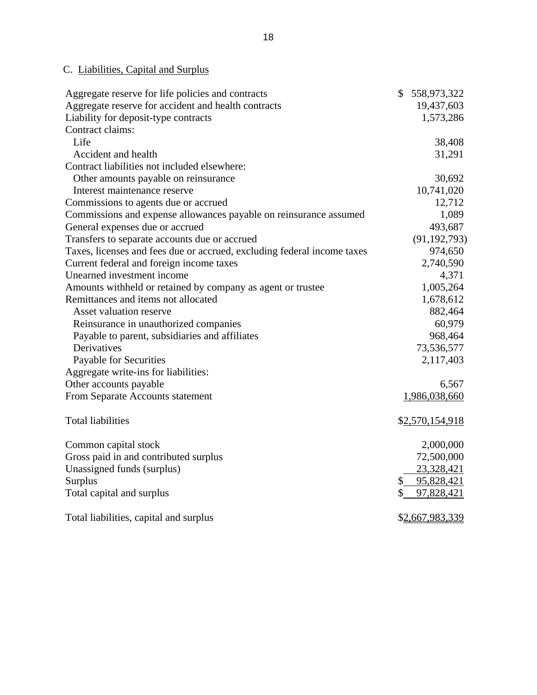# C. Liabilities, Capital and Surplus

| Aggregate reserve for life policies and contracts                       | \$<br>558,973,322 |
|-------------------------------------------------------------------------|-------------------|
| Aggregate reserve for accident and health contracts                     | 19,437,603        |
| Liability for deposit-type contracts                                    | 1,573,286         |
| Contract claims:                                                        |                   |
| Life                                                                    | 38,408            |
| Accident and health                                                     | 31,291            |
| Contract liabilities not included elsewhere:                            |                   |
| Other amounts payable on reinsurance                                    | 30,692            |
| Interest maintenance reserve                                            | 10,741,020        |
| Commissions to agents due or accrued                                    | 12,712            |
| Commissions and expense allowances payable on reinsurance assumed       | 1,089             |
| General expenses due or accrued                                         | 493,687           |
| Transfers to separate accounts due or accrued                           | (91, 192, 793)    |
| Taxes, licenses and fees due or accrued, excluding federal income taxes | 974,650           |
| Current federal and foreign income taxes                                | 2,740,590         |
| Unearned investment income                                              | 4,371             |
| Amounts withheld or retained by company as agent or trustee             | 1,005,264         |
| Remittances and items not allocated                                     | 1,678,612         |
| <b>Asset valuation reserve</b>                                          | 882,464           |
| Reinsurance in unauthorized companies                                   | 60,979            |
| Payable to parent, subsidiaries and affiliates                          | 968,464           |
| Derivatives                                                             | 73,536,577        |
| Payable for Securities                                                  | 2,117,403         |
| Aggregate write-ins for liabilities:                                    |                   |
| Other accounts payable                                                  | 6,567             |
| From Separate Accounts statement                                        | 1,986,038,660     |
| <b>Total liabilities</b>                                                | \$2,570,154,918   |
| Common capital stock                                                    | 2,000,000         |
| Gross paid in and contributed surplus                                   | 72,500,000        |
| Unassigned funds (surplus)                                              | 23,328,421        |
| Surplus                                                                 | 95,828,421<br>\$  |
| Total capital and surplus                                               | \$<br>97,828,421  |
| Total liabilities, capital and surplus                                  | \$2,667,983,339   |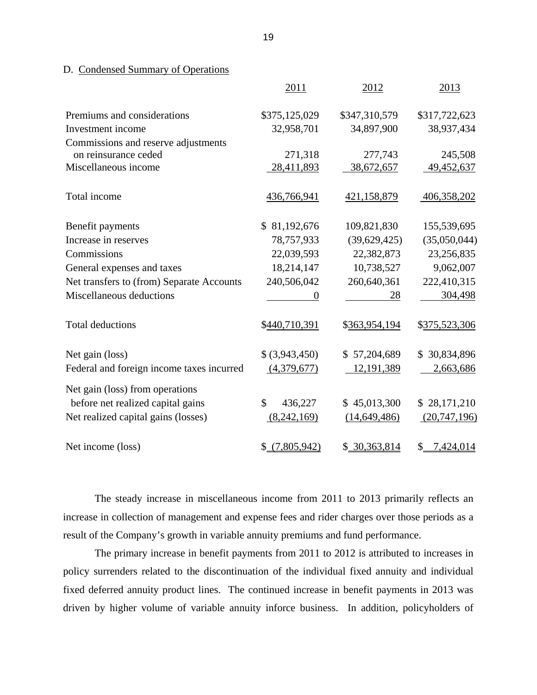### D. Condensed Summary of Operations

|                                           | 2011           | 2012           | 2013            |
|-------------------------------------------|----------------|----------------|-----------------|
| Premiums and considerations               | \$375,125,029  | \$347,310,579  | \$317,722,623   |
| Investment income                         | 32,958,701     | 34,897,900     | 38,937,434      |
| Commissions and reserve adjustments       |                |                |                 |
| on reinsurance ceded                      | 271,318        | 277,743        | 245,508         |
| Miscellaneous income                      | 28,411,893     | 38,672,657     | 49,452,637      |
| Total income                              | 436,766,941    | 421,158,879    | 406,358,202     |
| Benefit payments                          | \$81,192,676   | 109,821,830    | 155,539,695     |
| Increase in reserves                      | 78,757,933     | (39,629,425)   | (35,050,044)    |
| Commissions                               | 22,039,593     | 22,382,873     | 23,256,835      |
| General expenses and taxes                | 18,214,147     | 10,738,527     | 9,062,007       |
| Net transfers to (from) Separate Accounts | 240,506,042    | 260,640,361    | 222,410,315     |
| Miscellaneous deductions                  | $\theta$       | 28             | 304,498         |
| <b>Total deductions</b>                   | \$440,710,391  | \$363,954,194  | \$375,523,306   |
| Net gain (loss)                           | \$ (3,943,450) | \$57,204,689   | \$30,834,896    |
| Federal and foreign income taxes incurred | (4,379,677)    | 12,191,389     | 2,663,686       |
| Net gain (loss) from operations           |                |                |                 |
| before net realized capital gains         | \$<br>436,227  | \$45,013,300   | \$28,171,210    |
| Net realized capital gains (losses)       | (8,242,169)    | (14, 649, 486) | (20, 747, 196)  |
| Net income (loss)                         | \$(7,805,942)  | \$30,363,814   | 7,424,014<br>\$ |

The steady increase in miscellaneous income from 2011 to 2013 primarily reflects an increase in collection of management and expense fees and rider charges over those periods as a result of the Company's growth in variable annuity premiums and fund performance.

The primary increase in benefit payments from 2011 to 2012 is attributed to increases in policy surrenders related to the discontinuation of the individual fixed annuity and individual fixed deferred annuity product lines. The continued increase in benefit payments in 2013 was driven by higher volume of variable annuity inforce business. In addition, policyholders of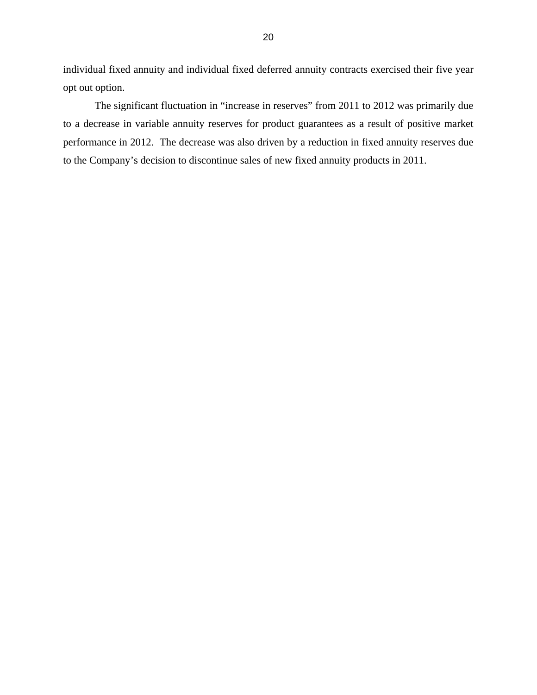individual fixed annuity and individual fixed deferred annuity contracts exercised their five year opt out option.

The significant fluctuation in "increase in reserves" from 2011 to 2012 was primarily due to a decrease in variable annuity reserves for product guarantees as a result of positive market performance in 2012. The decrease was also driven by a reduction in fixed annuity reserves due to the Company's decision to discontinue sales of new fixed annuity products in 2011.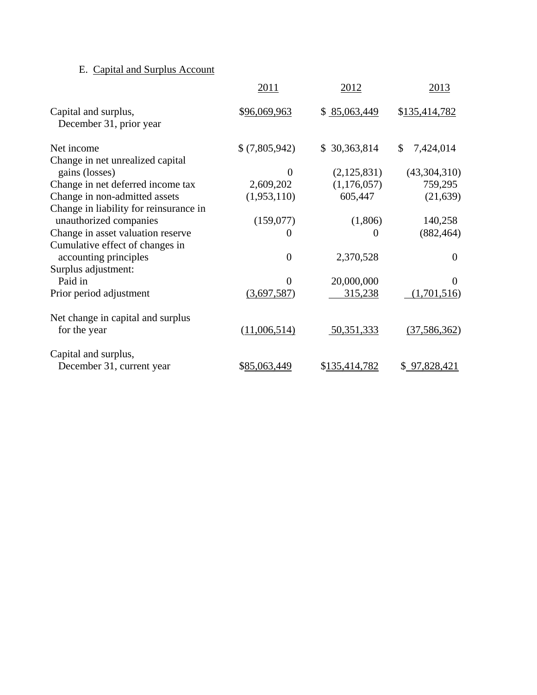# E. Capital and Surplus Account

|                                                                  | 2011           | 2012          | 2013            |
|------------------------------------------------------------------|----------------|---------------|-----------------|
| Capital and surplus,<br>December 31, prior year                  | \$96,069,963   | \$85,063,449  | \$135,414,782   |
| Net income                                                       | \$(7,805,942)  | \$30,363,814  | \$<br>7,424,014 |
| Change in net unrealized capital<br>gains (losses)               | $\overline{0}$ | (2,125,831)   | (43,304,310)    |
| Change in net deferred income tax                                | 2,609,202      | (1,176,057)   | 759,295         |
| Change in non-admitted assets                                    | (1,953,110)    | 605,447       | (21, 639)       |
| Change in liability for reinsurance in<br>unauthorized companies | (159,077)      | (1,806)       | 140,258         |
| Change in asset valuation reserve                                | 0              | $\Omega$      | (882, 464)      |
| Cumulative effect of changes in<br>accounting principles         | $\overline{0}$ | 2,370,528     | $\overline{0}$  |
| Surplus adjustment:<br>Paid in                                   | $\Omega$       | 20,000,000    | 0               |
| Prior period adjustment                                          | (3,697,587)    | 315,238       | (1,701,516)     |
| Net change in capital and surplus<br>for the year                | (11,006,514)   | 50,351,333    | (37, 586, 362)  |
| Capital and surplus,<br>December 31, current year                | \$85,063,449   | \$135,414,782 | \$97,828,421    |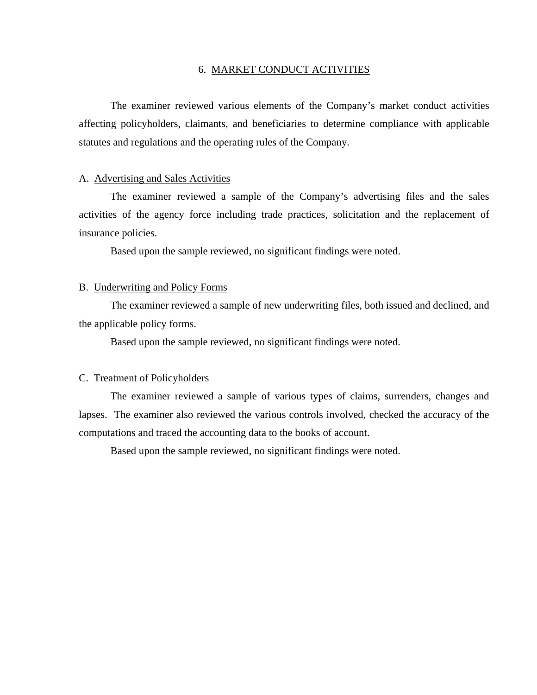#### 6. MARKET CONDUCT ACTIVITIES

The examiner reviewed various elements of the Company's market conduct activities affecting policyholders, claimants, and beneficiaries to determine compliance with applicable statutes and regulations and the operating rules of the Company.

#### A. Advertising and Sales Activities

The examiner reviewed a sample of the Company's advertising files and the sales activities of the agency force including trade practices, solicitation and the replacement of insurance policies.

Based upon the sample reviewed, no significant findings were noted.

#### B. Underwriting and Policy Forms

The examiner reviewed a sample of new underwriting files, both issued and declined, and the applicable policy forms.

Based upon the sample reviewed, no significant findings were noted.

#### C. Treatment of Policyholders

The examiner reviewed a sample of various types of claims, surrenders, changes and lapses. The examiner also reviewed the various controls involved, checked the accuracy of the computations and traced the accounting data to the books of account.

Based upon the sample reviewed, no significant findings were noted.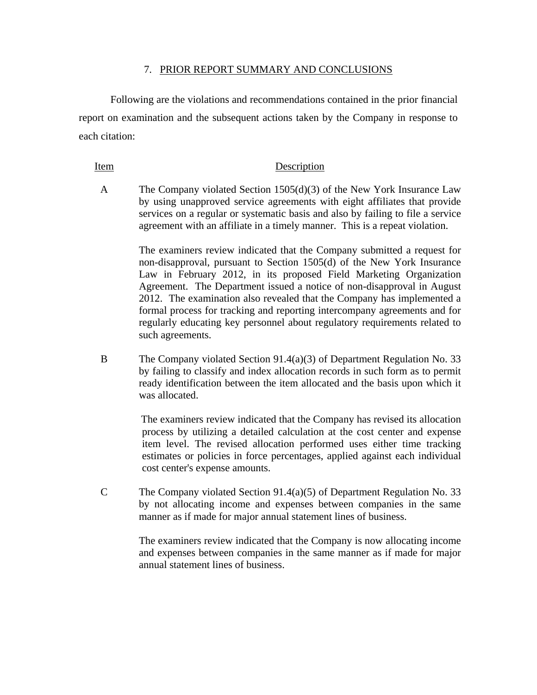#### 7. PRIOR REPORT SUMMARY AND CONCLUSIONS

Following are the violations and recommendations contained in the prior financial report on examination and the subsequent actions taken by the Company in response to each citation:

#### Item Description

A The Company violated Section 1505(d)(3) of the New York Insurance Law by using unapproved service agreements with eight affiliates that provide services on a regular or systematic basis and also by failing to file a service agreement with an affiliate in a timely manner. This is a repeat violation.

> The examiners review indicated that the Company submitted a request for non-disapproval, pursuant to Section 1505(d) of the New York Insurance Law in February 2012, in its proposed Field Marketing Organization Agreement. The Department issued a notice of non-disapproval in August 2012. The examination also revealed that the Company has implemented a formal process for tracking and reporting intercompany agreements and for regularly educating key personnel about regulatory requirements related to such agreements.

B The Company violated Section 91.4(a)(3) of Department Regulation No. 33 by failing to classify and index allocation records in such form as to permit ready identification between the item allocated and the basis upon which it was allocated.

> The examiners review indicated that the Company has revised its allocation process by utilizing a detailed calculation at the cost center and expense item level. The revised allocation performed uses either time tracking estimates or policies in force percentages, applied against each individual cost center's expense amounts.

C The Company violated Section 91.4(a)(5) of Department Regulation No. 33 by not allocating income and expenses between companies in the same manner as if made for major annual statement lines of business.

> The examiners review indicated that the Company is now allocating income and expenses between companies in the same manner as if made for major annual statement lines of business.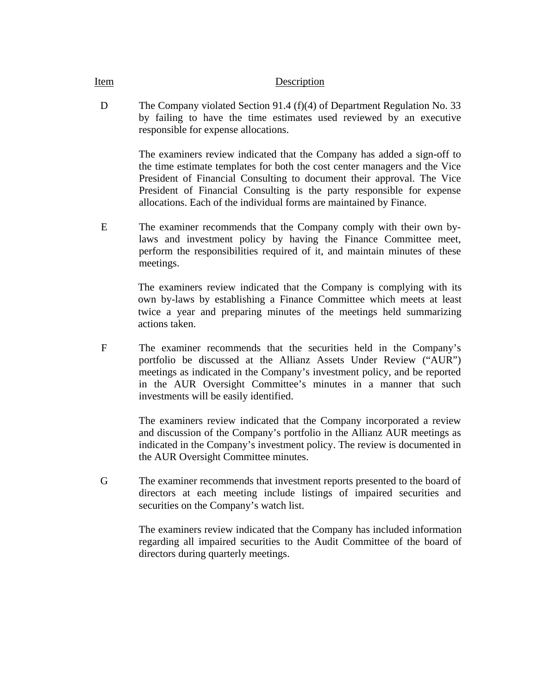#### Item Description

D The Company violated Section 91.4 (f)(4) of Department Regulation No. 33 by failing to have the time estimates used reviewed by an executive responsible for expense allocations.

> The examiners review indicated that the Company has added a sign-off to the time estimate templates for both the cost center managers and the Vice President of Financial Consulting to document their approval. The Vice President of Financial Consulting is the party responsible for expense allocations. Each of the individual forms are maintained by Finance.

E The examiner recommends that the Company comply with their own bylaws and investment policy by having the Finance Committee meet, perform the responsibilities required of it, and maintain minutes of these meetings.

> The examiners review indicated that the Company is complying with its own by-laws by establishing a Finance Committee which meets at least twice a year and preparing minutes of the meetings held summarizing actions taken.

F The examiner recommends that the securities held in the Company's portfolio be discussed at the Allianz Assets Under Review ("AUR") meetings as indicated in the Company's investment policy, and be reported in the AUR Oversight Committee's minutes in a manner that such investments will be easily identified.

> The examiners review indicated that the Company incorporated a review and discussion of the Company's portfolio in the Allianz AUR meetings as indicated in the Company's investment policy. The review is documented in the AUR Oversight Committee minutes.

G The examiner recommends that investment reports presented to the board of directors at each meeting include listings of impaired securities and securities on the Company's watch list.

> The examiners review indicated that the Company has included information regarding all impaired securities to the Audit Committee of the board of directors during quarterly meetings.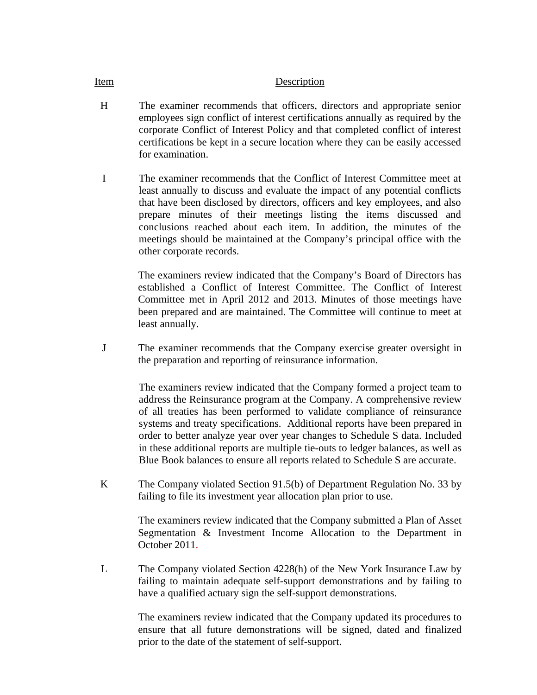#### Item Description

- H The examiner recommends that officers, directors and appropriate senior employees sign conflict of interest certifications annually as required by the corporate Conflict of Interest Policy and that completed conflict of interest certifications be kept in a secure location where they can be easily accessed for examination.
- I The examiner recommends that the Conflict of Interest Committee meet at least annually to discuss and evaluate the impact of any potential conflicts that have been disclosed by directors, officers and key employees, and also prepare minutes of their meetings listing the items discussed and conclusions reached about each item. In addition, the minutes of the meetings should be maintained at the Company's principal office with the other corporate records.

The examiners review indicated that the Company's Board of Directors has established a Conflict of Interest Committee. The Conflict of Interest Committee met in April 2012 and 2013. Minutes of those meetings have been prepared and are maintained. The Committee will continue to meet at least annually.

J The examiner recommends that the Company exercise greater oversight in the preparation and reporting of reinsurance information.

> The examiners review indicated that the Company formed a project team to address the Reinsurance program at the Company. A comprehensive review of all treaties has been performed to validate compliance of reinsurance systems and treaty specifications. Additional reports have been prepared in order to better analyze year over year changes to Schedule S data. Included in these additional reports are multiple tie-outs to ledger balances, as well as Blue Book balances to ensure all reports related to Schedule S are accurate.

K The Company violated Section 91.5(b) of Department Regulation No. 33 by failing to file its investment year allocation plan prior to use.

> The examiners review indicated that the Company submitted a Plan of Asset Segmentation & Investment Income Allocation to the Department in October 2011.

L The Company violated Section 4228(h) of the New York Insurance Law by failing to maintain adequate self-support demonstrations and by failing to have a qualified actuary sign the self-support demonstrations.

> The examiners review indicated that the Company updated its procedures to ensure that all future demonstrations will be signed, dated and finalized prior to the date of the statement of self-support.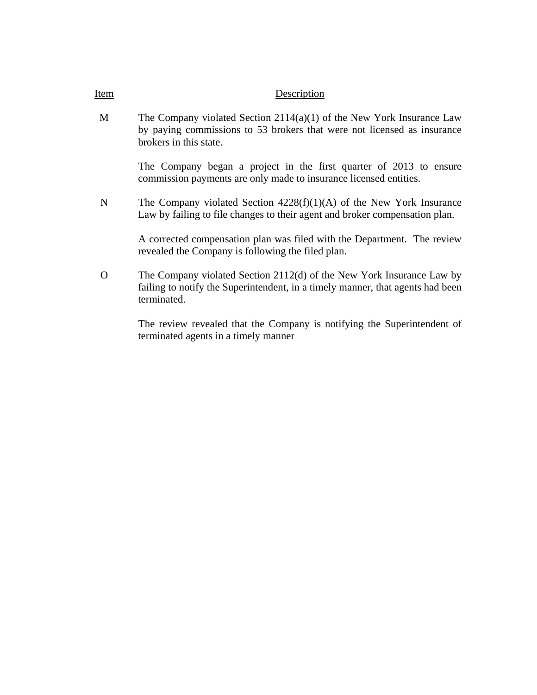### Item Description

M The Company violated Section 2114(a)(1) of the New York Insurance Law by paying commissions to 53 brokers that were not licensed as insurance brokers in this state.

> The Company began a project in the first quarter of 2013 to ensure commission payments are only made to insurance licensed entities.

N The Company violated Section 4228(f)(1)(A) of the New York Insurance Law by failing to file changes to their agent and broker compensation plan.

> A corrected compensation plan was filed with the Department. The review revealed the Company is following the filed plan.

O The Company violated Section 2112(d) of the New York Insurance Law by failing to notify the Superintendent, in a timely manner, that agents had been terminated.

> The review revealed that the Company is notifying the Superintendent of terminated agents in a timely manner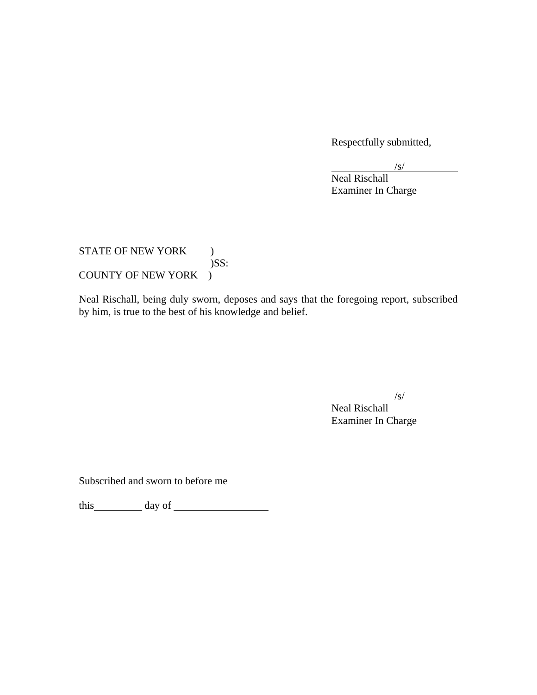Respectfully submitted,

 $\sqrt{s/2}$  $\sqrt{s}$ 

 Neal Rischall Examiner In Charge

STATE OF NEW YORK ) )SS: COUNTY OF NEW YORK )

Neal Rischall, being duly sworn, deposes and says that the foregoing report, subscribed by him, is true to the best of his knowledge and belief.

 $\sqrt{s}$ /  $\sqrt{s}$ 

 Neal Rischall Examiner In Charge

Subscribed and sworn to before me

this day of